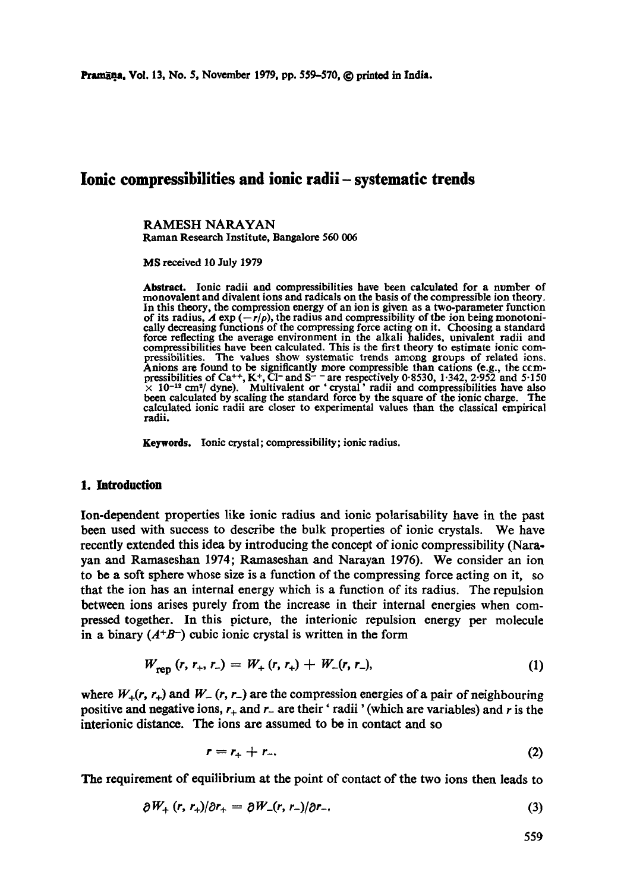# **Ionic compressibilities and ionic radii- systematic trends**

RAMESH NARAYAN Raman Research Institute, Bangalore 560 006

MS received 10 July 1979

Abstract. Ionic radii and compressibilities have been calculated for a number of monovalent and divalent ions and radicals on the basis of the compressible ion theory. In this theory, the compression energy of an ion is given as a two-parameter function of its radius,  $A \exp(-r/\rho)$ , the radius and compressibility of the ion being monotonically decreasing functions ot the compressing force acting on it. Choosing a standard force reflecting the average environment in the alkali halides, univalent radii and compressibilities have been calculated. This is the first theory to estimate ionic compressibilities. The values show systematic trends among groups of related ions. Anions are found to be significantly more compressible than cations (e.g., the ccmpressibilities of Ca<sup>++</sup>, K<sup>+</sup>, Cl<sup>-</sup> and S<sup>--</sup> are respectively 0.8530, 1.342, 2.952 and 5.150  $\times$  10<sup>-12</sup> cm<sup>2</sup>/ dyne). Multivalent or 'crystal' radii and compressibilities have also been calculated by scaling the standard force by the square of the ionic charge. The calculated ionic radii are closer to experimental values than the classical empirical radii.

Keywords. Ionic crystal; compressibility; ionic radius.

### 1. Introduction

Ion-dependent properties like ionic radius and ionic polarisability have in the past been used with success to describe the bulk properties of ionic crystals. We have recently extended this idea by introducing the concept of ionic compressibility (Narayan and Ramaseshan 1974; Ramaseshan and Narayan 1976). We consider an ion to be a soft sphere whose size is a function of the compressing force acting on it, so that the ion has an internal energy which is a function of its radius. The repulsion between ions arises purely from the increase in their internal energies when compressed together. In this picture, the interionic repulsion energy per molecule in a binary  $(A^{+}B^{-})$  cubic ionic crystal is written in the form

$$
W_{ren}(r, r_+, r_-) = W_+(r, r_+) + W_-(r, r_-), \qquad (1)
$$

where  $W_+(r, r_+)$  and  $W_-(r, r_-)$  are the compression energies of a pair of neighbouring positive and negative ions,  $r_+$  and  $r_-$  are their 'radii' (which are variables) and r is the interionic distance. The ions are assumed to be in contact and so

$$
r = r_+ + r_-\tag{2}
$$

The requirement of equilibrium at the point of contact of the two ions then leads to

$$
\partial W_{+} (r, r_{+})/\partial r_{+} = \partial W_{-}(r, r_{-})/\partial r_{-}.
$$
 (3)

559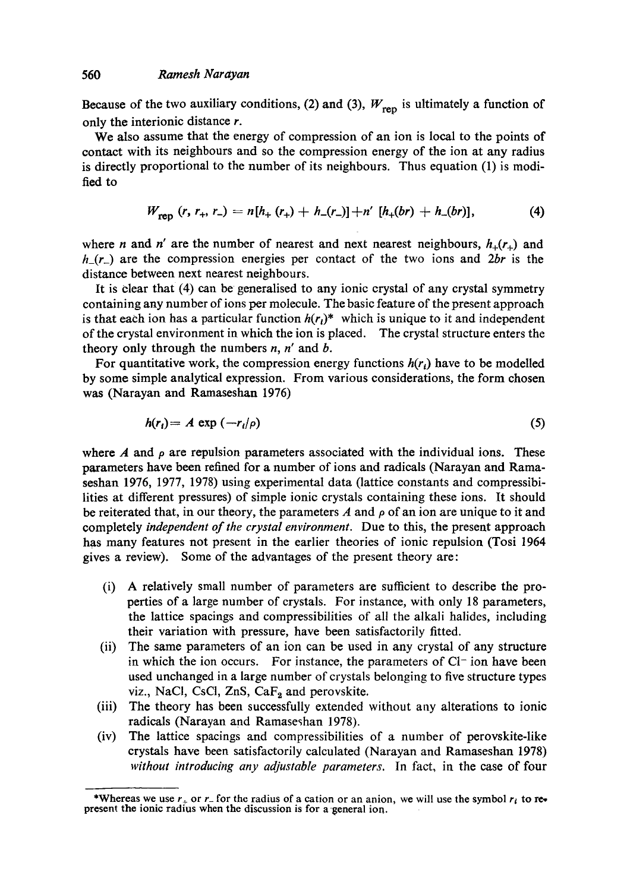Because of the two auxiliary conditions, (2) and (3),  $W_{\text{rep}}$  is ultimately a function of only the interionic distance r.

We also assume that the energy of compression of an ion is local to the points of contact with its neighbours and so the compression energy of the ion at any radius is directly proportional to the number of its neighbours. Thus equation (1) is modified to

$$
W_{\text{ren}}(r, r_+, r_-) = n[h_+(r_+) + h_-(r_-)] + n'[h_+(br) + h_-(br)], \qquad (4)
$$

where *n* and *n'* are the number of nearest and next nearest neighbours,  $h_{+}(r_{+})$  and *h\_(r\_)* are the compression energies per contact of the two ions and *2br* is the distance between next nearest neighbours.

It is clear that (4) can be generalised to any ionic crystal of any crystal symmetry containing any number of ions per molecule. The basic feature of the present approach is that each ion has a particular function  $h(r_i)^*$  which is unique to it and independent of the crystal environment in which the ion is placed. The crystal structure enters the theory only through the numbers  $n$ ,  $n'$  and  $b$ .

For quantitative work, the compression energy functions  $h(r_i)$  have to be modelled by some simple analytical expression. From various considerations, the form chosen was (Narayan and Ramaseshan 1976)

$$
h(r_i) = A \exp\left(-r_i/\rho\right) \tag{5}
$$

where A and  $\rho$  are repulsion parameters associated with the individual ions. These parameters have been refined for a number of ions and radicals (Narayan and Ramaseshan 1976, 1977, 1978) using experimental data (lattice constants and compressibilities at different pressures) of simple ionic crystals containing these ions. It should be reiterated that, in our theory, the parameters A and  $\rho$  of an ion are unique to it and completely *independent of the crystal environment.* Due to this, the present approach has many features not present in the earlier theories of ionic repulsion (Tosi 1964 gives a review). Some of the advantages of the present theory are:

- (i) A relatively small number of parameters are sufficient to describe the properties of a large number of crystals. For instance, with only 18 parameters, the lattice spacings and compressibilities of all the alkali halides, including their variation with pressure, have been satisfactorily fitted.
- (ii) The same parameters of an ion can be used in any crystal of any structure in which the ion occurs. For instance, the parameters of  $Cl<sup>-</sup>$  ion have been used unchanged in a large number of crystals belonging to five structure types viz., NaCl, CsCl, ZnS,  $CaF<sub>2</sub>$  and perovskite.
- (iii) The theory has been successfully extended without any alterations to ionic radicals (Narayan and Ramaseshan 1978).
- (iv) The lattice spacings and compressibilities of a number of perovskite-like crystals have been satisfactorily calculated (Narayan and Ramaseshan 1978) *without introducing any adjustable parameters.* In fact, in the ease of four

<sup>\*</sup>Whereas we use  $r_+$  or  $r_-$  for the radius of a cation or an anion, we will use the symbol  $r_i$  to represent the ionic radius when the discussion is for a general ion.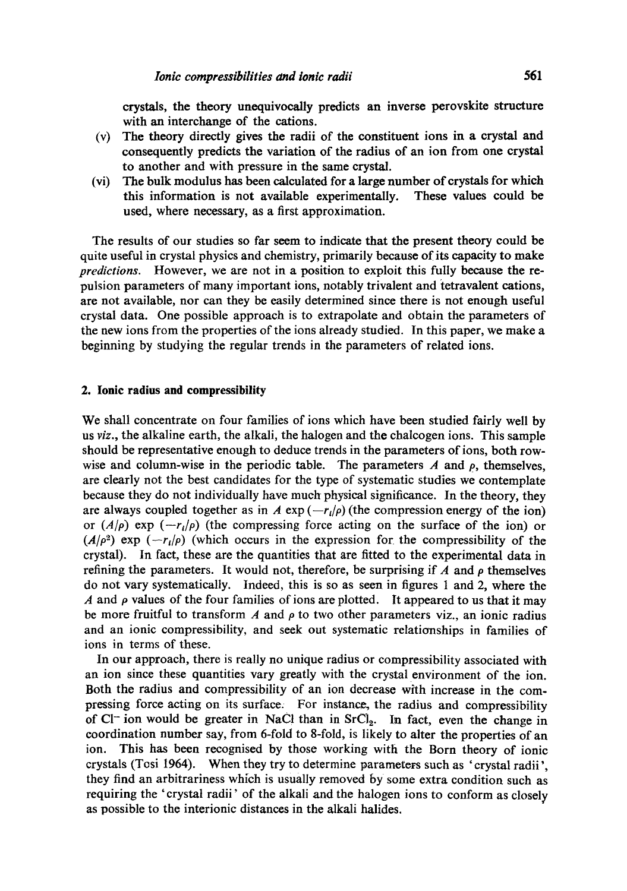crystals, the theory unequivocally predicts an inverse perovskite structure with an interchange of the cations.

- (v) The theory directly gives the radii of the constituent ions in a crystal and consequently predicts the variation of the radius of an ion from one crystal to another and with pressure in the same crystal.
- (vi) The bulk modulus has been calculated for a large number of crystals for which this information is not available experimentally. These values could be used, where necessary, as a first approximation.

The results of our studies so far seem to indicate that the present theory could be quite useful in crystal physics and chemistry, primarily because of its capacity to make *predictions.* However, we are not in a position to exploit this fully because the repulsion parameters of many important ions, notably trivalent and tetravalent cations, are not available, nor can they be easily determined since there is not enough useful crystal data. One possible approach is to extrapolate and obtain the parameters of the new ions from the properties of the ions already studied. In this paper, we make a beginning by studying the regular trends in the parameters of related ions.

## **2. Ionic radius and compressibility**

We shall concentrate on four families of ions which have been studied fairly well by us *viz.,* the alkaline earth, the alkali, the halogen and the chalcogen ions. This sample should be representative enough to deduce trends in the parameters of ions, both rowwise and column-wise in the periodic table. The parameters  $\vec{A}$  and  $\vec{p}$ , themselves, are clearly not the best candidates for the type of systematic studies we contemplate because they do not individually have much physical significance. In the theory, they are always coupled together as in A  $\exp(-r_i/\rho)$  (the compression energy of the ion) or  $(A/\rho)$  exp  $(-r_i/\rho)$  (the compressing force acting on the surface of the ion) or  $(A/\rho^2)$  exp  $(-r_l/\rho)$  (which occurs in the expression for the compressibility of the crystal). In fact, these are the quantities that are fitted to the experimental data in refining the parameters. It would not, therefore, be surprising if  $\Lambda$  and  $\rho$  themselves do not vary systematically. Indeed, this is so as seen in figures 1 and 2, where the  $\overline{A}$  and  $\rho$  values of the four families of ions are plotted. It appeared to us that it may be more fruitful to transform A and  $\rho$  to two other parameters viz., an ionic radius and an ionic compressibility, and seek out systematic relationships in families of ions in terms of these.

In our approach, there is really no unique radius or compressibility associated with an ion since these quantities vary greatly with the crystal environment of the ion. Both the radius and compressibility of an ion decrease with increase in the compressing force acting on its surface. For instance, the radius and compressibility of  $Cl^-$  ion would be greater in NaC! than in  $SrCl_2$ . In fact, even the change in coordination number say, from 6-fold to 8-fold, is likely to alter the properties of an ion. This has been recognised by those working with the Born theory of ionic crystals (Tosi 1964). When they try to determine parameters such as ' crystal radii', they find an arbitrariness which is usually removed by some extra condition such as requiring the 'crystal radii' of the alkali and the halogen ions to conform as closely as possible to the interionic distances in the alkali halides.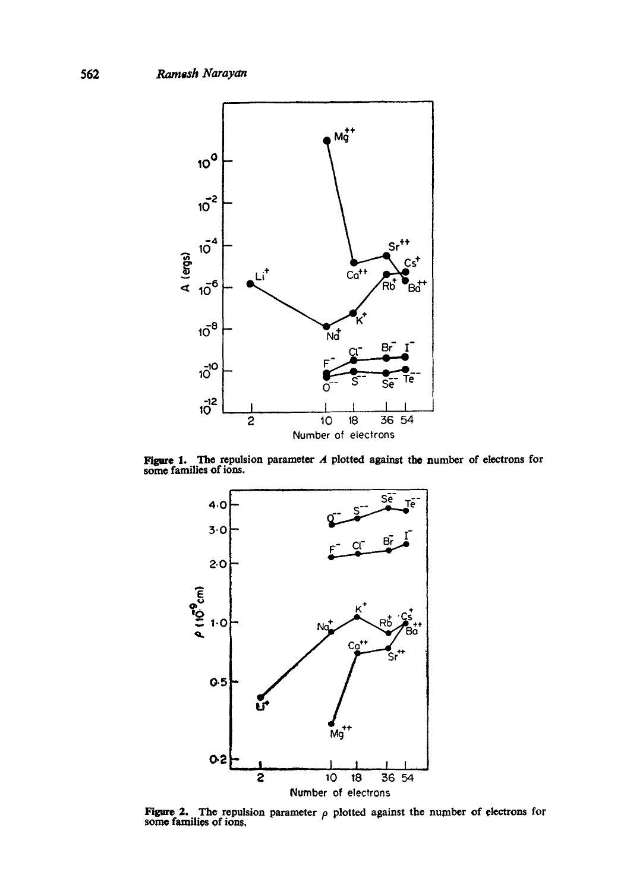

**Figure 1.** The repulsion parameter A plotted against the number of electrons for some families of ions.



**Figure 2.** The repulsion parameter  $\rho$  plotted against the number of electrons for some families of ions,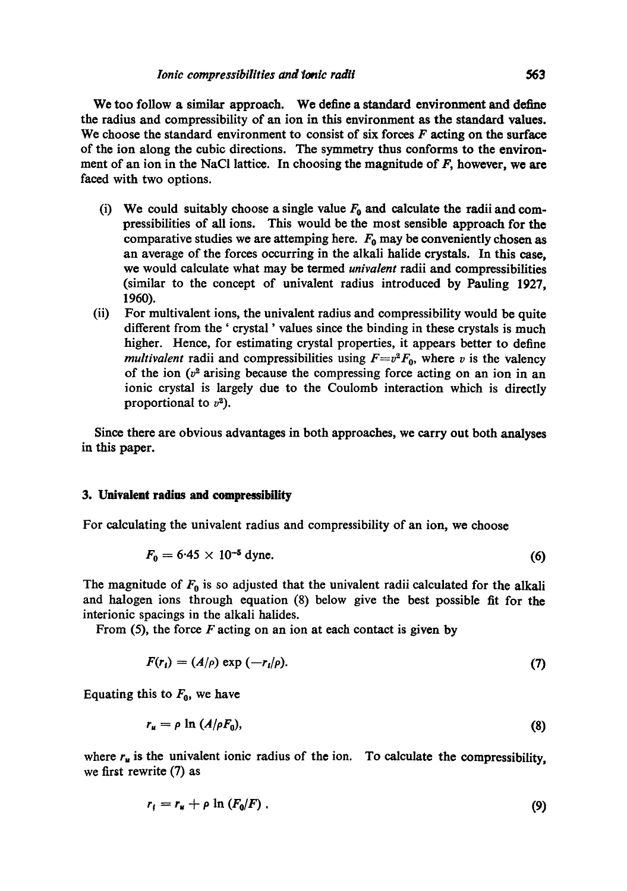We too follow a similar approach. We define a standard environment and define the radius and compressibility of an ion in this environment as the standard values. We choose the standard environment to consist of six forces  $F$  acting on the surface of the ion along the cubic directions. The symmetry thus conforms to the environment of an ion in the NaCl lattice. In choosing the magnitude of  $F$ , however, we are faced with two options.

- (i) We could suitably choose a single value  $F_0$  and calculate the radii and compressibilities of all ions. This would be the most sensible approach for the comparative studies we are attemping here.  $F_0$  may be conveniently chosen as an average of the forces occurring in the alkali halide crystals. In this ease, we would calculate what may be termed *univalent* radii and compressibilities (similar to the concept of univalent radius introduced by Pauling 1927, 1960).
- (ii) For multivalent ions, the univalent radius and compressibility would be quite different from the ' crystal ' values since the binding in these crystals is much higher. Hence, for estimating crystal properties, it appears better to define *multivalent* radii and compressibilities using  $F=v^2F_0$ , where v is the valency of the ion  $(v^2$  arising because the compressing force acting on an ion in an ionic crystal is largely due to the Coulomb interaction which is directly proportional to  $v^2$ ).

Since there are obvious advantages in both approaches, we carry out both analyses in this paper.

### **3. Univalent radius and compressibility**

For calculating the univalent radius and compressibility of an ion, we choose

$$
F_0 = 6.45 \times 10^{-5} \text{ dyne.}
$$
 (6)

The magnitude of  $F_0$  is so adjusted that the univalent radii calculated for the alkali and halogen ions through equation (8) below give the best possible fit for the interionic spacings in the alkali halides.

From  $(5)$ , the force F acting on an ion at each contact is given by

$$
F(r_i) = (A/\rho) \exp\left(-r_i/\rho\right). \tag{7}
$$

Equating this to  $F_0$ , we have

$$
r_u = \rho \ln \left( \frac{A}{\rho F_0} \right),\tag{8}
$$

where  $r_u$  is the univalent ionic radius of the ion. To calculate the compressibility, we first rewrite (7) as

$$
r_t = r_u + \rho \ln \left( F_0 / F \right) \tag{9}
$$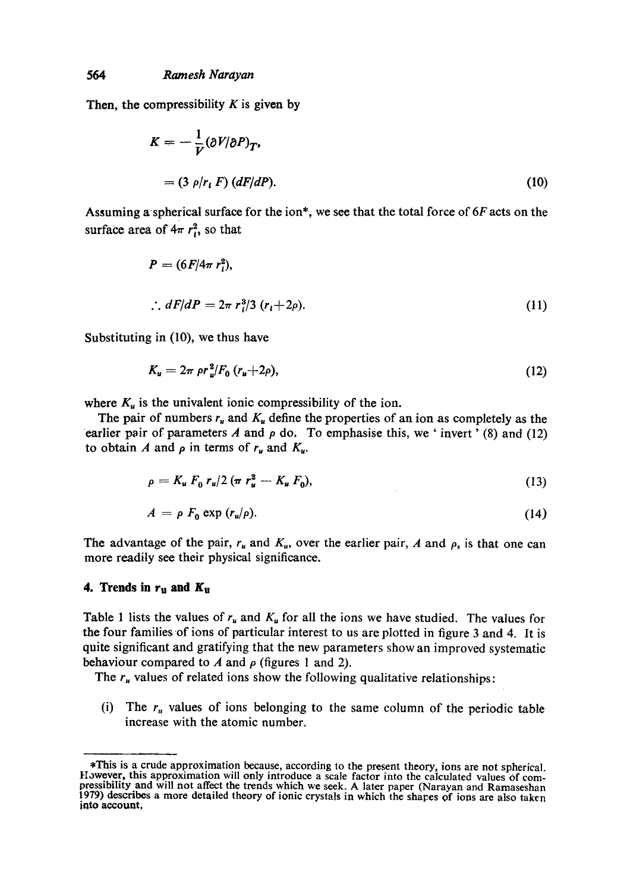Then, the compressibility  $K$  is given by

$$
K = -\frac{1}{V} (\partial V/\partial P)_T,
$$
  
= (3  $\rho/r_i$  F)  $(dF/dP).$  (10)

Assuming a spherical surface for the ion\*, we see that the total force of  $6F$  acts on the surface area of  $4\pi r_i^2$ , so that

$$
P = (6F/4\pi r_i^2),
$$
  
\n
$$
\therefore dF/dP = 2\pi r_i^3/3 (r_i + 2\rho).
$$
 (11)

Substituting in (10), we thus have

$$
K_u = 2\pi \rho r_u^2 / F_0 \left( r_u + 2\rho \right), \tag{12}
$$

where  $K_u$  is the univalent ionic compressibility of the ion.

The pair of numbers  $r_u$  and  $K_u$  define the properties of an ion as completely as the earlier pair of parameters A and  $\rho$  do. To emphasise this, we 'invert' (8) and (12) to obtain A and  $\rho$  in terms of  $r_u$  and  $K_u$ .

$$
\rho = K_u F_0 r_u/2 \left(\pi r_u^2 - K_u F_0\right),\tag{13}
$$

$$
A = \rho F_0 \exp(r_u/\rho). \tag{14}
$$

The advantage of the pair,  $r_u$  and  $K_u$ , over the earlier pair, A and  $\rho$ , is that one can more readily see their physical significance.

# **4. Trends in**  $r_u$  **and**  $K_u$

Table 1 lists the values of  $r_u$  and  $K_u$  for all the ions we have studied. The values for the four families of ions of particular interest to us are plotted in figure 3 and 4. It is quite significant and gratifying that the new parameters show an improved systematic behaviour compared to A and  $\rho$  (figures 1 and 2).

The  $r_u$  values of related ions show the following qualitative relationships:

(i) The  $r<sub>u</sub>$  values of ions belonging to the same column of the periodic table increase with the atomic number.

<sup>\*</sup>This is a crude approximation because, according to the present theory, ions are not spherical. However, this approximation will only introduce a scale factor into the calculated values of com-<br>pressibility and will not affect the trends which we seek. A later paper (Narayan and Ramaseshan 1979) describes a more detailed theory of ionic crystals in which the shares of ions are also taken **into account,**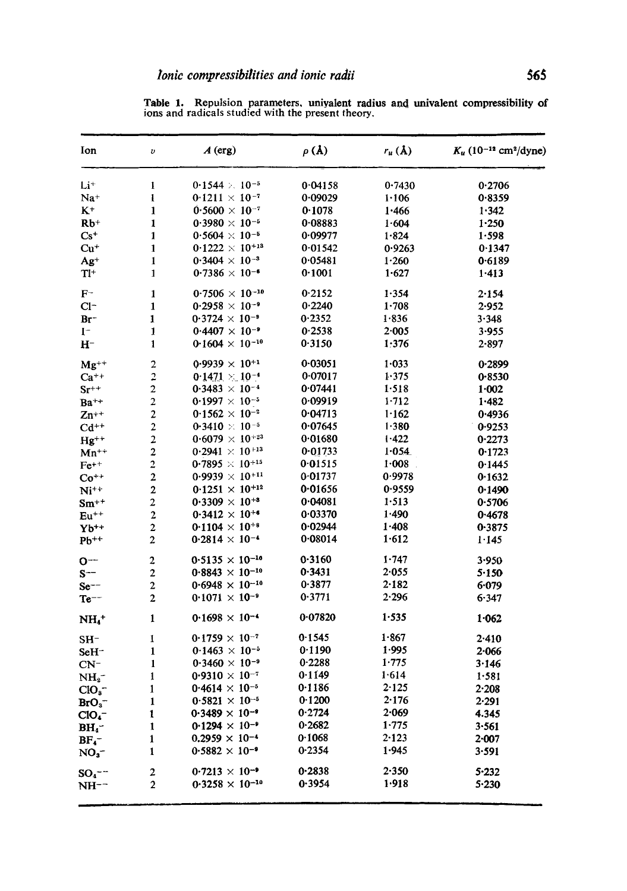Table 1. Repulsion parameters, univalent radius and univalent compressibility of ions and radicals studied with the present theory.

| Ion                  | υ                       | $A$ (erg)                         | $\rho$ (Å) | $r_u(\lambda)$ | $K_u$ (10 <sup>-12</sup> cm <sup>2</sup> /dyne) |
|----------------------|-------------------------|-----------------------------------|------------|----------------|-------------------------------------------------|
| $Li+$                | 1                       | $0.1544 > 10^{-5}$                | 0.04158    | 0.7430         | 0.2706                                          |
| $Na+$                | ı                       | 0.1211 $\times$ 10 <sup>-7</sup>  | 0.09029    | 1.106          | 0.8359                                          |
| $K^+$                | $\mathbf{1}$            | $0.5600 \times 10^{-7}$           | 0.1078     | 1.466          | 1.342                                           |
| $Rb+$                | 1                       | $0.3980 \times 10^{-5}$           | 0.08883    | 1.604          | 1.250                                           |
| $Cs+$                | 1                       | $0.5604 \times 10^{-5}$           | 0.09977    | 1.824          | 1.598                                           |
| $Cu+$                | 1                       | $0.1222 \times 10^{+13}$          | 0.01542    | 0.9263         | 0.1347                                          |
| $Ag+$                | 1                       | $0.3404 \times 10^{-3}$           | 0.05481    | 1.260          | 0.6189                                          |
| $T1+$                | 1                       | 0.7386 $\times$ 10 <sup>-6</sup>  | 0.1001     | 1.627          | 1.413                                           |
| $F^-$                | 1                       | $0.7506 \times 10^{-10}$          | 0.2152     | 1.354          | 2.154                                           |
| $Cl^-$               | $\mathbf{1}$            | $0.2958 \times 10^{-9}$           | 0.2240     | 1.708          | 2.952                                           |
| $Br^-$               | 1                       | $0.3724 \times 10^{-9}$           | 0.2352     | 1.836          | 3.348                                           |
| $1^-$                | 1                       | $0.4407 \times 10^{-9}$           | 0.2538     | 2.005          | 3.955                                           |
| $H^-$                | $\mathbf{1}$            | 0.1604 $\times$ 10 <sup>-10</sup> | 0.3150     | 1:376          | $2 - 897$                                       |
| $Mg^{++}$            | $\overline{\mathbf{c}}$ | $0.9939 \times 10^{+1}$           | 0.03051    | $1 - 033$      | 0.2899                                          |
| $Ca^{++}$            | $\overline{\mathbf{c}}$ | 0.1471 $\times$ 10 <sup>-4</sup>  | 0.07017    | 1.375          | 0.8530                                          |
| $Sr^{++}$            | $\mathbf 2$             | $0.3483 \times 10^{-4}$           | 0.07441    | 1.518          | 1.002                                           |
| $Ba^{++}$            | $\overline{\mathbf{c}}$ | $0.1997 \times 10^{-5}$           | 0.09919    | 1.712          | 1.482                                           |
| $Zn^{++}$            | $\overline{\mathbf{c}}$ | $0.1562 \times 10^{-2}$           | 0.04713    | 1.162          | 0.4936                                          |
| $Cd^{++}$            | $\overline{c}$          | 0.3410 $\times$ 10 <sup>-5</sup>  | 0.07645    | 1.380          | 0.9253                                          |
| $Hg^{++}$            | $\overline{\mathbf{c}}$ | $0.6079 \times 10^{+23}$          | 0.01680    | 1.422          | 0.2273                                          |
| $Mn^{++}$            | $\overline{\mathbf{c}}$ | $0.2941 \times 10^{+13}$          | 0.01733    | 1.054          | 0.1723                                          |
| $Fe^{++}$            | $\overline{\mathbf{c}}$ | $0.7895 \times 10^{+15}$          | 0.01515    | 1.008          | 0.1445                                          |
| $Co^{++}$            | $\overline{\mathbf{c}}$ | $0.9939 \times 10^{+11}$          | 0.01737    | 0.9978         | 0.1632                                          |
| $Ni^{++}$            | $\overline{\mathbf{c}}$ | $0.1251 \times 10^{+12}$          | 0.01656    | 0.9559         | 0.1490                                          |
| $Sm^{++}$            | $\overline{\mathbf{c}}$ | $0.3309 \times 10^{+8}$           | 0.04081    | 1.513          | 0.5706                                          |
| $Eu^{++}$            | $\overline{c}$          | $0.3412 \times 10^{+4}$           | 0.03370    | 1.490          | 0.4678                                          |
| $Yb^{++}$            | $\mathbf{2}$            | 0.1104 $\times$ 10 <sup>+8</sup>  | 0.02944    | 1.408          | 0.3875                                          |
| $Pb^{++}$            | $\mathbf 2$             | $0.2814 \times 10^{-4}$           | 0.08014    | 1.612          | 1.145                                           |
| O--                  | $\boldsymbol{2}$        | $0.5135 \times 10^{-10}$          | 0.3160     | 1.747          | 3.950                                           |
| $S^{--}$             | $\mathbf 2$             | $0.8843 \times 10^{-10}$          | 0.3431     | 2.055          | 5.150                                           |
| $Se$ --              | $\mathbf 2$             | $0.6948 \times 10^{-10}$          | 0.3877     | 2.182          | 6.079                                           |
| $Te^{--}$            | $\overline{c}$          | $0.1071 \times 10^{-9}$           | 0.3771     | 2.296          | 6.347                                           |
| $NH_4^+$             | 1                       | $0.1698 \times 10^{-4}$           | 0.07820    | 1.535          | 1.062                                           |
| $SH-$                | 1                       | $0.1759 \times 10^{-7}$           | 0.1545     | 1.867          | 2.410                                           |
| $SeH^-$              | $\mathbf{1}$            | $0.1463 \times 10^{-5}$           | 0.1190     | 1.995          | 2.066                                           |
| $CN^-$               | 1                       | $0.3460 \times 10^{-9}$           | 0.2288     | 1.775          | 3.146                                           |
| $\mathbf{NH_2}^-$    | 1                       | $0.9310 \times 10^{-7}$           | 0.1149     | 1.614          | 1.581                                           |
| CIO <sub>s</sub>     | 1                       | 0.4614 $\times$ 10 <sup>-5</sup>  | 0.1186     | 2.125          | $2 - 208$                                       |
| $BrO_3^-$            | 1                       | $0.5821 \times 10^{-5}$           | 0.1200     | 2.176          | 2.291                                           |
| ClO <sub>4</sub>     | 1                       | $0.3489 \times 10^{-9}$           | 0.2724     | 2.069          | 4.345                                           |
| BH <sub>4</sub>      | 1                       | $0.1294 \times 10^{-9}$           | 0.2682     | 1.775          | 3-561                                           |
| $BF_4^-$             | 1                       | $0.2959 \times 10^{-4}$           | 0.1068     | $2 - 123$      | $2 - 007$                                       |
| NO <sub>3</sub>      | 1                       | $0.5882 \times 10^{-9}$           | 0.2354     | 1.945          | 3.591                                           |
| $SO_4$ <sup>--</sup> | 2                       | $0.7213 \times 10^{-9}$           | 0.2838     | 2.350          | 5.232                                           |
| NH--                 | $\overline{2}$          | $0.3258 \times 10^{-10}$          | 0.3954     | 1.918          | $5 - 230$                                       |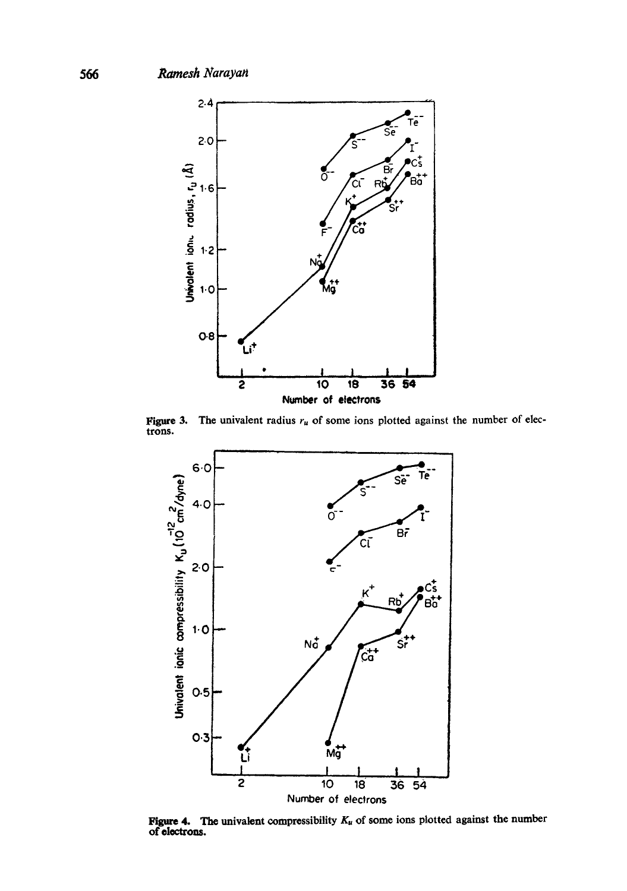

**Figure 3.** The univalent radius  $r_u$  of some ions plotted against the number of electrons.



**Figure 4.** The univalent compressibility  $K_u$  of some ions plotted against the number of **ele**ctrons.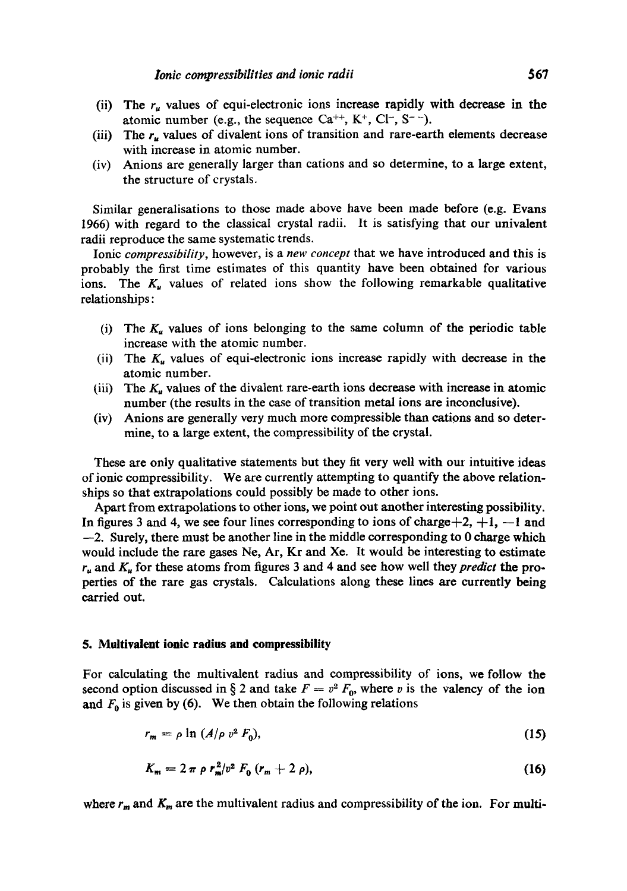- (ii) The  $r<sub>u</sub>$  values of equi-electronic ions increase rapidly with decrease in the atomic number (e.g., the sequence  $Ca^{++}$ ,  $K^+$ ,  $Cl^-$ ,  $S^-$ ).
- (iii) The  $r_u$  values of divalent ions of transition and rare-earth elements decrease with increase in atomic number.
- (iv) Anions are generally larger than cations and so determine, to a large extent, the structure of crystals.

Similar generalisations to those made above have been made before (e.g. Evans 1966) with regard to the classical crystal radii. It is satisfying that our univalent radii reproduce the same systematic trends.

Ionic *compressibility,* however, is a *new concept* that we have introduced and this is probably the first time estimates of this quantity have been obtained for various ions. The  $K_u$  values of related ions show the following remarkable qualitative relationships:

- (i) The  $K_u$  values of ions belonging to the same column of the periodic table increase with the atomic number.
- (ii) The  $K<sub>u</sub>$  values of equi-electronic ions increase rapidly with decrease in the atomic number.
- (iii) The  $K_u$  values of the divalent rare-earth ions decrease with increase in atomic number (the results in the case of transition metal ions are inconclusive).
- (iv) Anions are generally very much more compressible than cations and so determine, to a large extent, the compressibility of the crystal.

These are only qualitative statements but they fit very well with out intuitive ideas of ionic compressibility. We are currently attempting to quantify the above relationships so that extrapolations could possibly be made to other ions.

Apart from extrapolations to other ions, we point out another interesting possibility. In figures 3 and 4, we see four lines corresponding to ions of charge $+2$ ,  $+1$ ,  $-1$  and  $-2$ . Surely, there must be another line in the middle corresponding to 0 charge which would include the rare gases Ne, Ar, Kr and Xe. It would be interesting to estimate  $r_u$  and  $K_u$  for these atoms from figures 3 and 4 and see how well they *predict* the properties of the rare gas crystals. Calculations along these lines are currently being carried out.

### **5. Multivalent ionic radius and compressibility**

For calculating the multivalent radius and compressibility of ions, we follow the second option discussed in § 2 and take  $F = v^2 F_0$ , where v is the valency of the ion and  $F_0$  is given by (6). We then obtain the following relations

$$
r_m = \rho \ln \left( A/\rho v^2 F_0 \right), \tag{15}
$$

$$
K_m = 2 \pi \rho r_m^2/v^2 F_0 (r_m + 2 \rho), \qquad (16)
$$

where  $r_m$  and  $K_m$  are the multivalent radius and compressibility of the ion. For multi-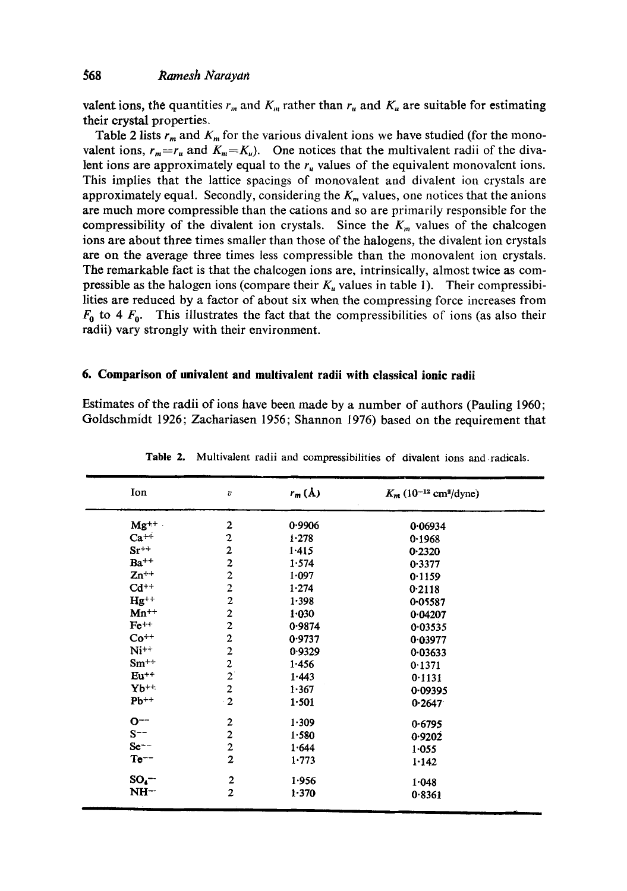valent ions, the quantities  $r_m$  and  $K_m$  rather than  $r_u$  and  $K_u$  are suitable for estimating their crystal properties.

Table 2 lists  $r_m$  and  $K_m$  for the various divalent ions we have studied (for the monovalent ions,  $r_m = r_u$  and  $K_m = K_u$ ). One notices that the multivalent radii of the divalent ions are approximately equal to the  $r<sub>u</sub>$  values of the equivalent monovalent ions. This implies that the lattice spacings of monovalent and divalent ion crystals are approximately equal. Secondly, considering the  $K_m$  values, one notices that the anions are much more compressible than the cations and so are primarily responsible for the compressibility of the divalent ion crystals. Since the  $K_m$  values of the chalcogen ions are about three times smaller than those of the halogens, the divalent ion crystals **are** on the average three times less compressible than the monovalent ion crystals. The remarkable fact is that the chalcogen ions are, intrinsically, almost twice as compressible as the halogen ions (compare their  $K_u$  values in table 1). Their compressibilities are reduced by a factor of about six when the compressing force increases from  $F_0$  to 4  $F_0$ . This illustrates the fact that the compressibilities of ions (as also their radii) vary strongly with their environment.

### **6. Comparison of univalent and multivalent radii with classical ionic radii**

Estimates of the radii of ions have been made by a number of authors (Pauling 1960; Goldschmidt 1926; Zachariasen 1956; Shannon 1976) based on the requirement that

| Ion       | $\boldsymbol{v}$        | $r_m(\lambda)$ | $K_m$ (10 <sup>-12</sup> cm <sup>2</sup> /dyne) |
|-----------|-------------------------|----------------|-------------------------------------------------|
| $Mg^{++}$ | 2                       | 0.9906         | 0.06934                                         |
| $Ca++$    | 2                       | 1.278          | 0.1968                                          |
| $Sr^{++}$ | $\overline{\mathbf{c}}$ | 1.415          | 0.2320                                          |
| $Ba^{++}$ | 2                       | 1.574          | 0.3377                                          |
| $Zn^{++}$ | $\overline{\mathbf{c}}$ | 1.097          | 0.1159                                          |
| $Cd^{++}$ | $\overline{\mathbf{c}}$ | 1.274          | 0.2118                                          |
| $Hg^{++}$ | $\overline{\mathbf{c}}$ | 1.398          | 0.05587                                         |
| $Mn^{++}$ | $\overline{\mathbf{c}}$ | 1.030          | 0.04207                                         |
| $Fe^{++}$ | $\overline{\mathbf{c}}$ | 0.9874         | 0.03535                                         |
| $Co^{++}$ | $\overline{\mathbf{c}}$ | 0.9737         | 0.03977                                         |
| $Ni^{++}$ | $\mathbf 2$             | 0.9329         | 0.03633                                         |
| $Sm^{++}$ | $\frac{2}{2}$           | 1.456          | 0.1371                                          |
| $Eu^{++}$ |                         | 1.443          | 0.1131                                          |
| $Yb^{++}$ | $\frac{2}{2}$           | 1.367          | 0.09395                                         |
| $Pb^{++}$ |                         | 1.501          | 0.2647                                          |
| $O^{--}$  | 2                       | 1.309          | 0.6795                                          |
| $S^{--}$  | $\overline{\mathbf{c}}$ | 1.580          | 0.9202                                          |
| $S$ e $-$ | $\overline{\mathbf{c}}$ | 1.644          | 1.055                                           |
| $Te^{--}$ | $\overline{2}$          | 1.773          | 1.142                                           |
| $SO_4$ -- | $\boldsymbol{2}$        | 1.956          | 1.048                                           |
| NH-       | $\overline{2}$          | 1.370          | 0.8361                                          |

Table 2. Multivalent radii and compressibilities of divalent ions and radicals.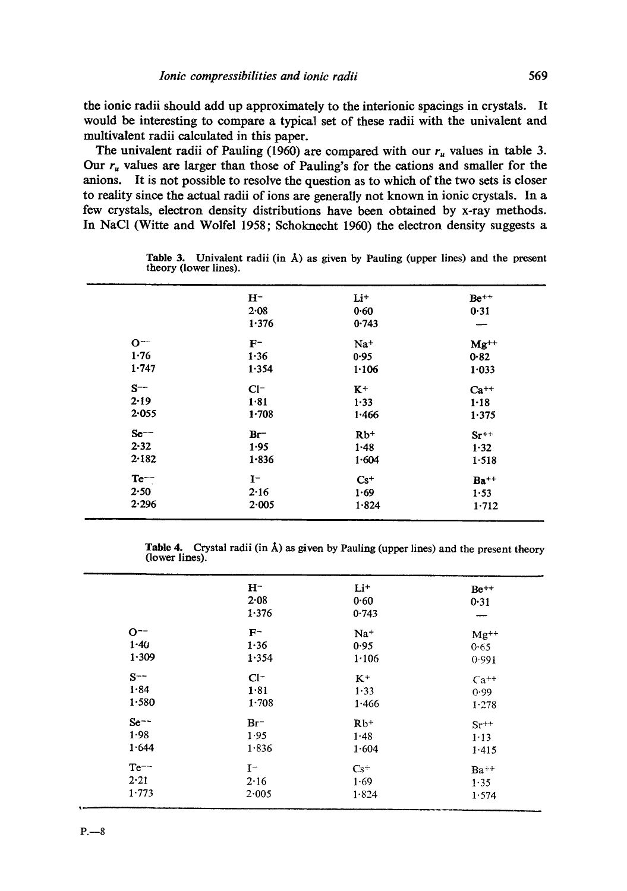the ionic radii should add up approximately to the interionic spacings in crystals. It would be interesting to compare a typical set of these radii with the univalent and multivalent radii calculated in this paper.

The univalent radii of Pauling (1960) are compared with our  $r_u$  values in table 3. Our  $r_u$  values are larger than those of Pauling's for the cations and smaller for the anions. It is not possible to resolve the question as to which of the two sets is closer to reality since the actual radii of ions are generally not known in ionic crystals. In a few crystals, electron density distributions have been obtained by x-ray methods. In NaCl (Witte and Wolfel 1958; Schoknecht 1960) the electron density suggests a

|          | $H^-$     | $Li+$    | $Be^{++}$ |
|----------|-----------|----------|-----------|
|          | $2 - 08$  | $0 - 60$ | 0.31      |
|          | 1.376     | 0.743    |           |
| $O^{-1}$ | $F^-$     | $Na+$    | $Mg^{++}$ |
| 1.76     | 1.36      | 0.95     | 0.82      |
| 1.747    | 1.354     | 1.106    | 1.033     |
| $S^{--}$ | $Cl^-$    | $K^+$    | $Ca^{++}$ |
| $2 - 19$ | 1.81      | $1 - 33$ | $1 - 18$  |
| 2.055    | $1 - 708$ | 1.466    | 1.375     |
| $Se^{-}$ | $Br^-$    | $Rb+$    | $Sr^{++}$ |
| $2 - 32$ | 1.95      | $1 - 48$ | 1.32      |
| 2.182    | $1 - 836$ | 1.604    | 1.518     |
| $Te^{-}$ | $I^-$     | $Cs+$    | $Ba^{++}$ |
| 2.50     | 2.16      | 1.69     | 1.53      |
| 2.296    | 2.005     | 1.824    | 1.712     |
|          |           |          |           |

Table 3. Univalent radii (in  $\dot{A}$ ) as given by Pauling (upper lines) and the present theory (lower lines).

**Table** 4. Crystal radii (in A) as given by Pauling (upper lines) and the present theory (lower lines).

|                                | $H^-$<br>2.08<br>1.376      | Li <sup>+</sup><br>0.60<br>0.743 | $Be^{++}$<br>0.31                   |
|--------------------------------|-----------------------------|----------------------------------|-------------------------------------|
| $O^{-1}$<br>$1 - 40$<br>1.309  | $F^-$<br>1.36<br>1.354      | $Na+$<br>0.95<br>1.106           | $Mg^{++}$<br>0.65                   |
| $S^{--}$<br>1.84<br>1.580      | $Cl^-$<br>1.81<br>$1 - 708$ | $K^+$<br>1.33<br>1.466           | 0.991<br>$Ca^{++}$<br>0.99<br>1.278 |
| $Se^{-}$<br>1.98<br>1.644      | $Br^-$<br>1.95<br>1.836     | $Rb+$<br>1.48<br>1.604           | $Sr^{++}$<br>1.13<br>1.415          |
| $Te^{--}$<br>$2 - 21$<br>1.773 | $I^-$<br>2.16<br>2.005      | $Cs+$<br>1.69<br>$1 - 824$       | $Ba++$<br>1.35<br>1.574             |
|                                |                             |                                  |                                     |